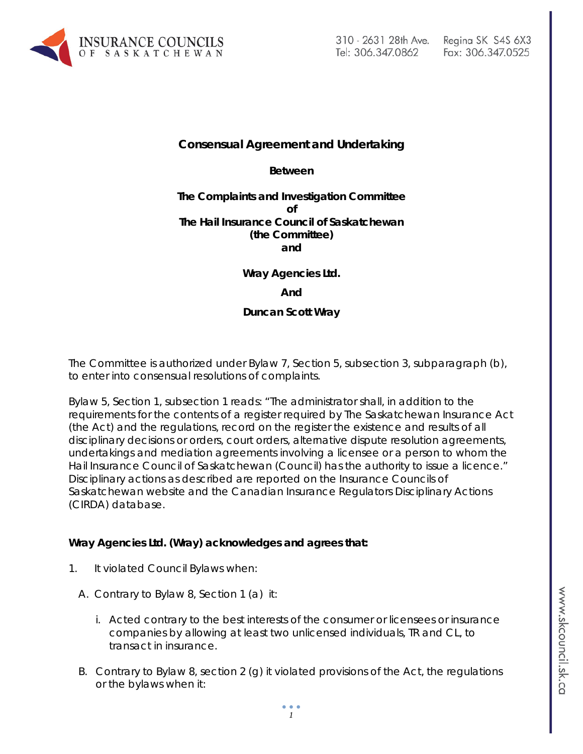

# **Consensual Agreement and Undertaking**

**Between**

### **The Complaints and Investigation Committee of The Hail Insurance Council of Saskatchewan (the Committee) and**

**Wray Agencies Ltd.**

#### **And**

### **Duncan Scott Wray**

The Committee is authorized under Bylaw 7, Section 5, subsection 3, subparagraph (b), to enter into consensual resolutions of complaints.

Bylaw 5, Section 1, subsection 1 reads: "The administrator shall, in addition to the requirements for the contents of a register required by *The Saskatchewan Insurance Act* (the Act) and the regulations, record on the register the existence and results of all disciplinary decisions or orders, court orders, alternative dispute resolution agreements, undertakings and mediation agreements involving a licensee or a person to whom the Hail Insurance Council of Saskatchewan (Council) has the authority to issue a licence." Disciplinary actions as described are reported on the Insurance Councils of Saskatchewan website and the Canadian Insurance Regulators Disciplinary Actions (CIRDA) database.

### **Wray Agencies Ltd. (Wray) acknowledges and agrees that:**

- 1. It violated Council Bylaws when:
	- A. Contrary to Bylaw 8, Section 1 (a) it:
		- i. Acted contrary to the best interests of the consumer or licensees or insurance companies by allowing at least two unlicensed individuals, TR and CL, to transact in insurance.
	- B. Contrary to Bylaw 8, section 2 (g) it violated provisions of the Act, the regulations or the bylaws when it: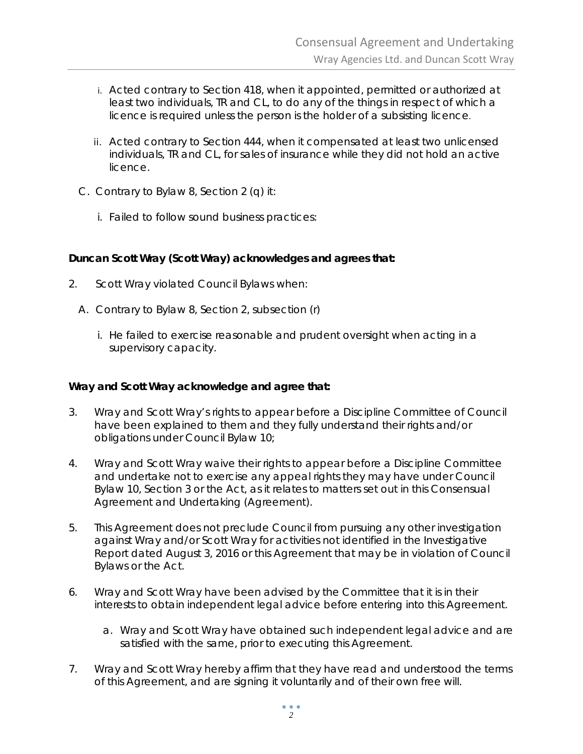- i. Acted contrary to Section 418, when it appointed, permitted or authorized at least two individuals, TR and CL, to do any of the things in respect of which a licence is required unless the person is the holder of a subsisting licence.
- ii. Acted contrary to Section 444, when it compensated at least two unlicensed individuals, TR and CL, for sales of insurance while they did not hold an active licence.
- C. Contrary to Bylaw 8, Section 2 (q) it:
	- i. Failed to follow sound business practices:

# **Duncan Scott Wray (Scott Wray) acknowledges and agrees that:**

- 2. Scott Wray violated Council Bylaws when:
	- A. Contrary to Bylaw 8, Section 2, subsection (r)
		- i. He failed to exercise reasonable and prudent oversight when acting in a supervisory capacity.

## **Wray and Scott Wray acknowledge and agree that:**

- 3. Wray and Scott Wray's rights to appear before a Discipline Committee of Council have been explained to them and they fully understand their rights and/or obligations under Council Bylaw 10;
- 4. Wray and Scott Wray waive their rights to appear before a Discipline Committee and undertake not to exercise any appeal rights they may have under Council Bylaw 10, Section 3 or the Act*,* as it relates to matters set out in this Consensual Agreement and Undertaking (Agreement).
- 5. This Agreement does not preclude Council from pursuing any other investigation against Wray and/or Scott Wray for activities not identified in the Investigative Report dated August 3, 2016 or this Agreement that may be in violation of Council Bylaws or the Act.
- 6. Wray and Scott Wray have been advised by the Committee that it is in their interests to obtain independent legal advice before entering into this Agreement.
	- a. Wray and Scott Wray have obtained such independent legal advice and are satisfied with the same, prior to executing this Agreement.
- 7. Wray and Scott Wray hereby affirm that they have read and understood the terms of this Agreement, and are signing it voluntarily and of their own free will.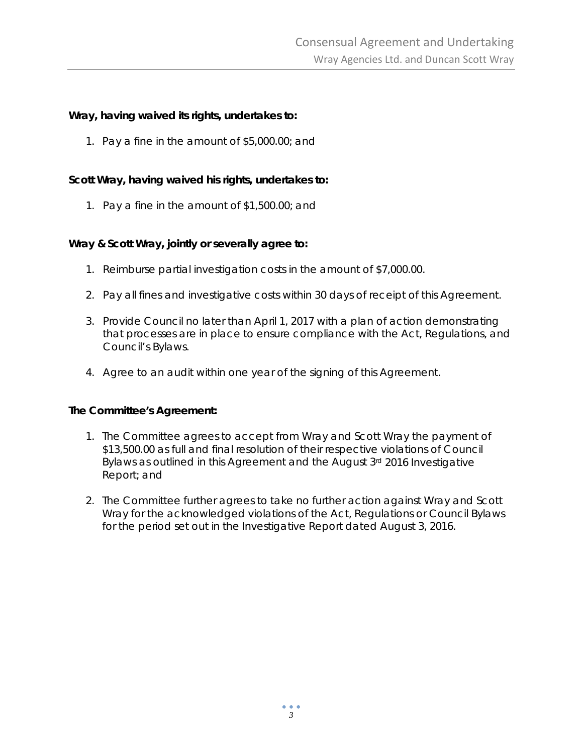## **Wray, having waived its rights, undertakes to:**

1. Pay a fine in the amount of \$5,000.00; and

# **Scott Wray, having waived his rights, undertakes to:**

1. Pay a fine in the amount of \$1,500.00; and

### **Wray & Scott Wray, jointly or severally agree to:**

- 1. Reimburse partial investigation costs in the amount of \$7,000.00.
- 2. Pay all fines and investigative costs within 30 days of receipt of this Agreement.
- 3. Provide Council no later than April 1, 2017 with a plan of action demonstrating that processes are in place to ensure compliance with the Act, Regulations, and Council's Bylaws.
- 4. Agree to an audit within one year of the signing of this Agreement.

### **The Committee's Agreement:**

- 1. The Committee agrees to accept from Wray and Scott Wray the payment of \$13,500.00 as full and final resolution of their respective violations of Council Bylaws as outlined in this Agreement and the August 3rd 2016 Investigative Report; and
- 2. The Committee further agrees to take no further action against Wray and Scott Wray for the acknowledged violations of the Act, Regulations or Council Bylaws for the period set out in the Investigative Report dated August 3, 2016.